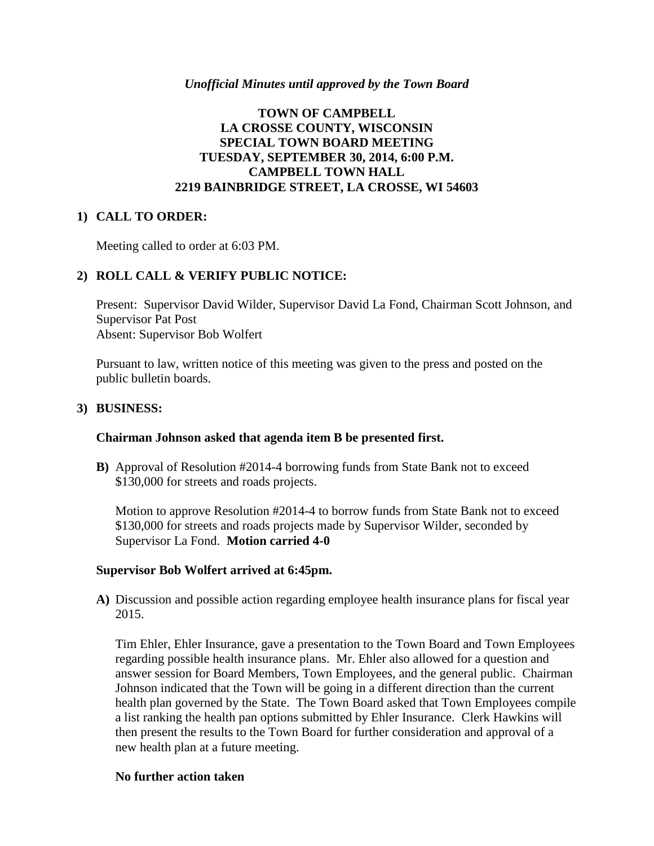### *Unofficial Minutes until approved by the Town Board*

# **TOWN OF CAMPBELL LA CROSSE COUNTY, WISCONSIN SPECIAL TOWN BOARD MEETING TUESDAY, SEPTEMBER 30, 2014, 6:00 P.M. CAMPBELL TOWN HALL 2219 BAINBRIDGE STREET, LA CROSSE, WI 54603**

## **1) CALL TO ORDER:**

Meeting called to order at 6:03 PM.

## **2) ROLL CALL & VERIFY PUBLIC NOTICE:**

Present: Supervisor David Wilder, Supervisor David La Fond, Chairman Scott Johnson, and Supervisor Pat Post Absent: Supervisor Bob Wolfert

Pursuant to law, written notice of this meeting was given to the press and posted on the public bulletin boards.

#### **3) BUSINESS:**

#### **Chairman Johnson asked that agenda item B be presented first.**

**B)** Approval of Resolution #2014-4 borrowing funds from State Bank not to exceed \$130,000 for streets and roads projects.

Motion to approve Resolution #2014-4 to borrow funds from State Bank not to exceed \$130,000 for streets and roads projects made by Supervisor Wilder, seconded by Supervisor La Fond. **Motion carried 4-0**

## **Supervisor Bob Wolfert arrived at 6:45pm.**

**A)** Discussion and possible action regarding employee health insurance plans for fiscal year 2015.

Tim Ehler, Ehler Insurance, gave a presentation to the Town Board and Town Employees regarding possible health insurance plans. Mr. Ehler also allowed for a question and answer session for Board Members, Town Employees, and the general public. Chairman Johnson indicated that the Town will be going in a different direction than the current health plan governed by the State. The Town Board asked that Town Employees compile a list ranking the health pan options submitted by Ehler Insurance. Clerk Hawkins will then present the results to the Town Board for further consideration and approval of a new health plan at a future meeting.

#### **No further action taken**